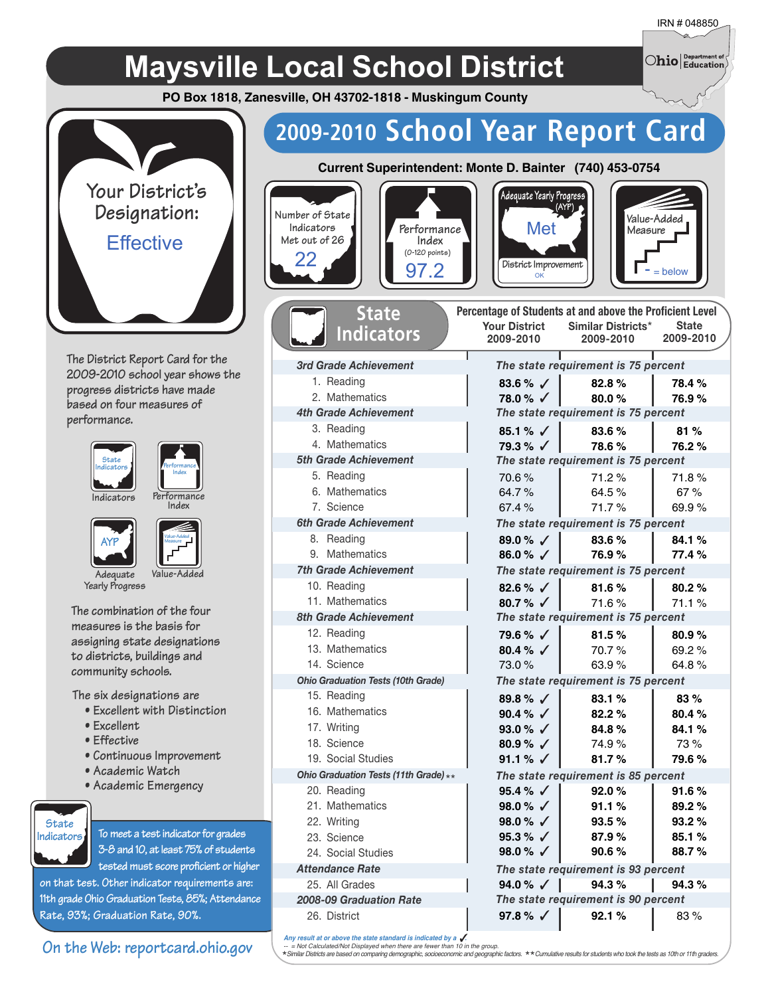$\bigcirc$ hio $\big\vert$  Department of

## **Maysville Local School District**

**PO Box 1818, Zanesville, OH 43702-1818 - Muskingum County**



**The District Report Card for the 2009-2010 school year shows the progress districts have made based on four measures of performance.**







**Indicators** 

**AYP**



Adeauate Value-**Yearly Progress**

**The combination of the four measures is the basis for assigning state designations to districts, buildings and community schools.**

**The six designations are**

- **Excellent with Distinction**
- **Excellent**
- **Effective**
- **Continuous Improvement**
- **Academic Watch**
- **Academic Emergency**



**To meet a test indicator for grades 3-8 and 10, at least 75% of students**

**tested must score proficient or higher 11th grade Ohio Graduation Tests, 85%; Attendance**

**Rate, 93%; Graduation Rate, 90%.**

#### **on that test. Other indicator requirements are:** 25. All Grades

**On the Web: reportcard.ohio.gov**

## **2009-2010 School Year Report Card**



*3rd Grade Achievement* 1. Reading 2. Mathematics *4th Grade Achievement* 3. Reading 4. Mathematics *5th Grade Achievement* 5. Reading 6. Mathematics 7. Science *6th Grade Achievement* 8. Reading 9. Mathematics *7th Grade Achievement* 10. Reading 11. Mathematics *8th Grade Achievement* 12. Reading 13. Mathematics 14. Science

**State Indicators**







| Percentage of Students at and above the Proficient Level |                                     |              |
|----------------------------------------------------------|-------------------------------------|--------------|
|                                                          | Your District Similar Districts*    | <b>State</b> |
| 2009-2010                                                | 2009-2010                           | 2009-2010    |
|                                                          | The state requirement is 75 percent |              |
| 83.6 % $\checkmark$                                      | 82.8%                               | 78.4%        |
| 78.0 % ⁄                                                 | 80.0%                               | 76.9%        |
|                                                          | The state requirement is 75 percent |              |
| 85.1 % $\sqrt{ }$                                        | 83.6%                               | 81%          |
| $79.3\%$ $\checkmark$                                    | 78.6%                               | 76.2%        |
|                                                          | The state requirement is 75 percent |              |
| 70.6%                                                    | 71.2%                               | 71.8%        |
| 64.7%                                                    | 64.5%                               | 67%          |
| 67.4%                                                    | 71.7%                               | 69.9%        |
|                                                          | The state requirement is 75 percent |              |
| 89.0 % $\sqrt{ }$                                        | 83.6%                               | 84.1%        |
| 86.0 % $\sqrt{ }$                                        | 76.9%                               | 77.4 %       |
|                                                          | The state requirement is 75 percent |              |
| 82.6 % $\sqrt{ }$                                        | 81.6%                               | 80.2%        |
| 80.7% $\checkmark$                                       | 71.6%                               | 71.1%        |
|                                                          | The state requirement is 75 percent |              |
| 79.6 % √                                                 | 81.5%                               | 80.9%        |
| 80.4 % $\sqrt{ }$                                        | 70.7%                               | 69.2%        |
| 73.0%                                                    | 63.9%                               | 64.8%        |
|                                                          | The state requirement is 75 percent |              |
| 89.8% $\sqrt{ }$                                         | 83.1%                               | 83%          |
| 90.4 % $\sqrt{ }$                                        | 82.2%                               | 80.4%        |
| 93.0 % $\sqrt{ }$                                        | 84.8%                               | 84.1%        |
| 80.9% $\sqrt{ }$                                         | 74.9%                               | 73%          |
| 91.1 % √                                                 | 81.7%                               | 79.6%        |
|                                                          | The state requirement is 85 percent |              |
| 95.4 % $\sqrt{ }$                                        | 92.0%                               | 91.6%        |
| 98.0 % $\sqrt{ }$                                        | 91.1%                               | 89.2%        |
| 98.0 % $\sqrt{ }$                                        | 93.5%                               | 93.2%        |
| 95.3 % $\sqrt{ }$                                        | 87.9%                               | 85.1%        |
| 98.0 % $\sqrt{ }$                                        | 90.6%                               | 88.7%        |
|                                                          | The state requirement is 93 percent |              |
| 94.0 % √ I                                               | 94.3%                               | 94.3%        |
|                                                          | The state requirement is 90 percent |              |
| 97.8 % $\sqrt{ }$                                        | 92.1%                               | 83%          |

*2008-09 Graduation Rate*

*Ohio Graduation Tests (10th Grade)*

*Ohio Graduation Tests (11th Grade)* \*\*

15. Reading 16. Mathematics 17. Writing 18. Science 19. Social Studies

20. Reading 21. Mathematics 22. Writing 23. Science 24. Social Studies *Attendance Rate*

26. District

Any result at or above the state standard is indicated by a *U.*<br>-- = Not Calculated/Not Displayed when there are fewer than 10 in the group.<br>\*Similar Districts are based on comparing demographic, socioeconomic and geograp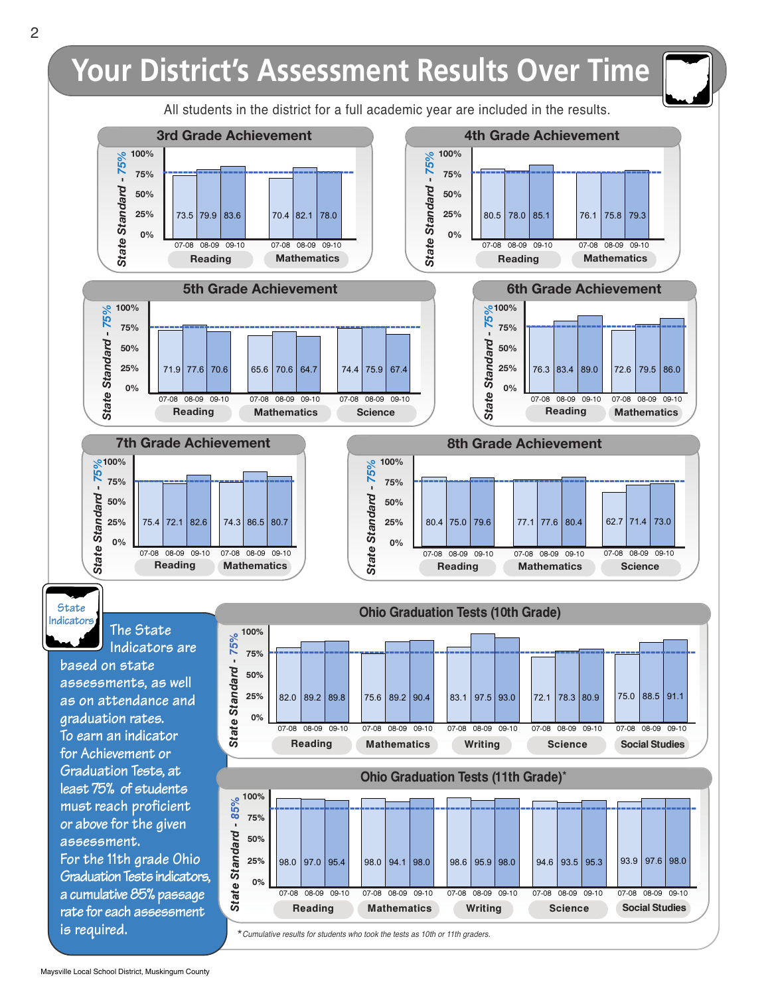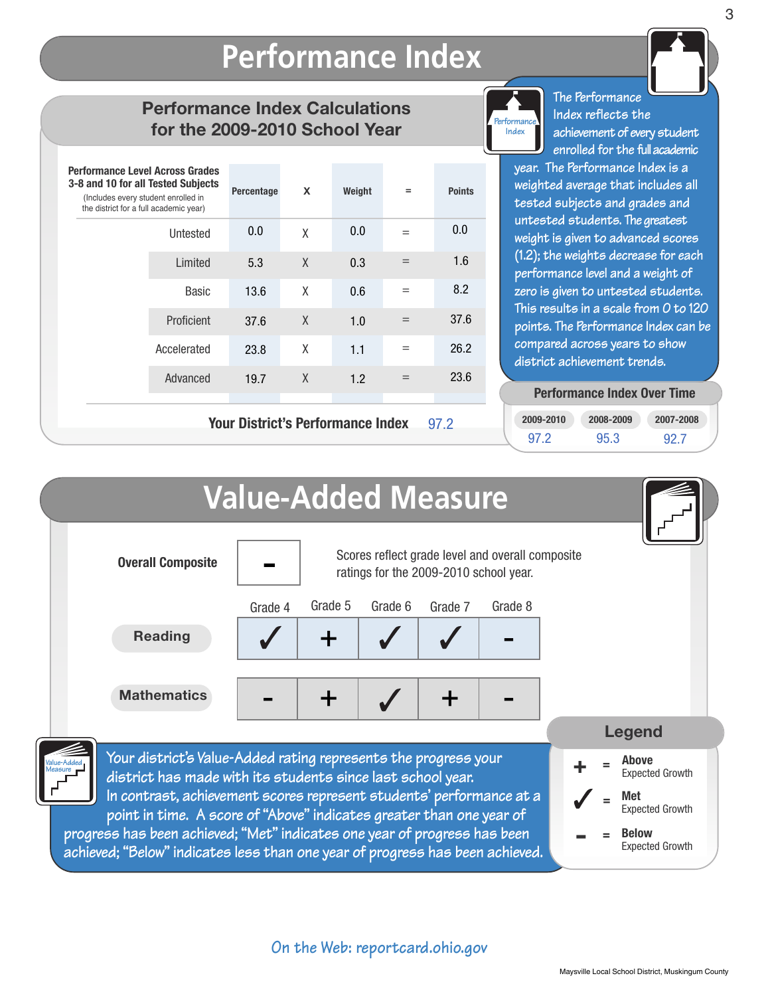### **Performance Index Performance Index**

### **Performance Index Calculations for the 2009-2010 School Year**

| <b>Performance Level Across Grades</b><br>3-8 and 10 for all Tested Subjects<br>(Includes every student enrolled in<br>the district for a full academic year) |              | Percentage | X      | Weight | $=$ | <b>Points</b> |
|---------------------------------------------------------------------------------------------------------------------------------------------------------------|--------------|------------|--------|--------|-----|---------------|
|                                                                                                                                                               | Untested     | 0.0        | X      | 0.0    | $=$ | 0.0           |
|                                                                                                                                                               | Limited      | 5.3        | X      | 0.3    | $=$ | 1.6           |
|                                                                                                                                                               | <b>Basic</b> | 13.6       | X      | 0.6    | $=$ | 8.2           |
|                                                                                                                                                               | Proficient   | 37.6       | $\chi$ | 1.0    | $=$ | 37.6          |
|                                                                                                                                                               | Accelerated  | 23.8       | X      | 1.1    | $=$ | 26.2          |
|                                                                                                                                                               | Advanced     | 19.7       | X      | 1.2    | $=$ | 23.6          |
| <b>Your District's Performance Index</b><br>97.2                                                                                                              |              |            |        |        |     |               |



**The Performance Index reflects the achievement of every student enrolled for the fullacademic**

**year. The Performance Index is a weighted average that includes all tested subjects and grades and untested students. The greatest weight is given to advanced scores (1.2); the weights decrease for each performance level and a weight of zero is given to untested students. This results in a scale from 0 to 120 points. The Performance Index can be compared across years to show district achievement trends.**

#### **Performance Index Over Time**

| 2009-2010 | 2008-2009 | 2007-2008 |
|-----------|-----------|-----------|
| 97.2      | 95.3      | 92.7      |

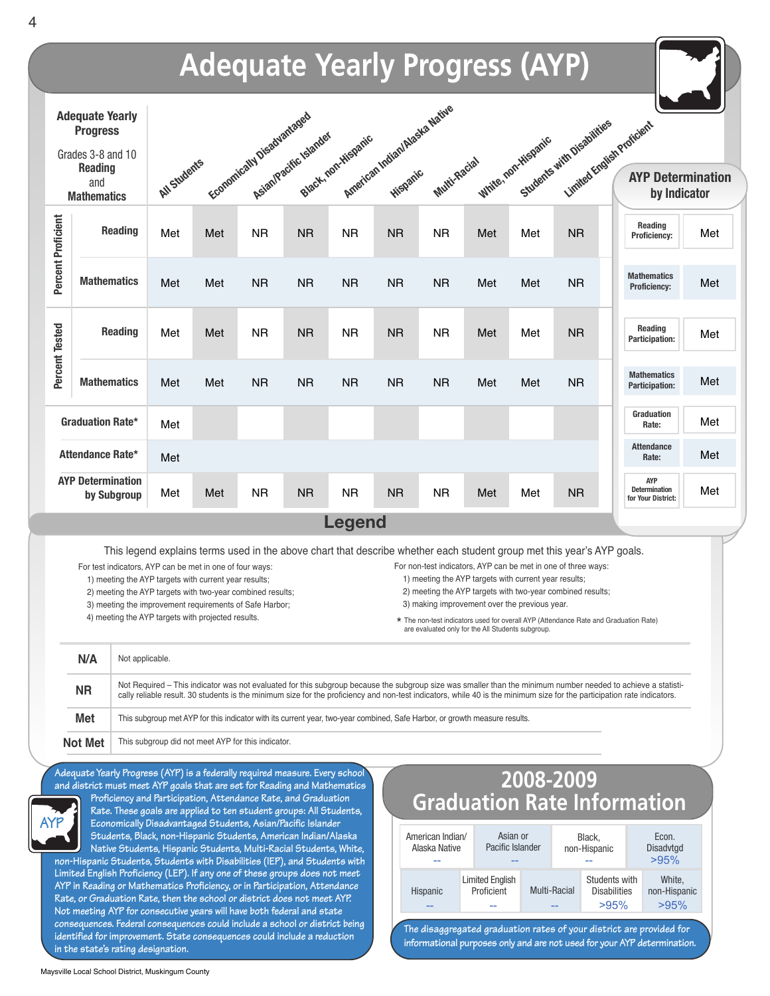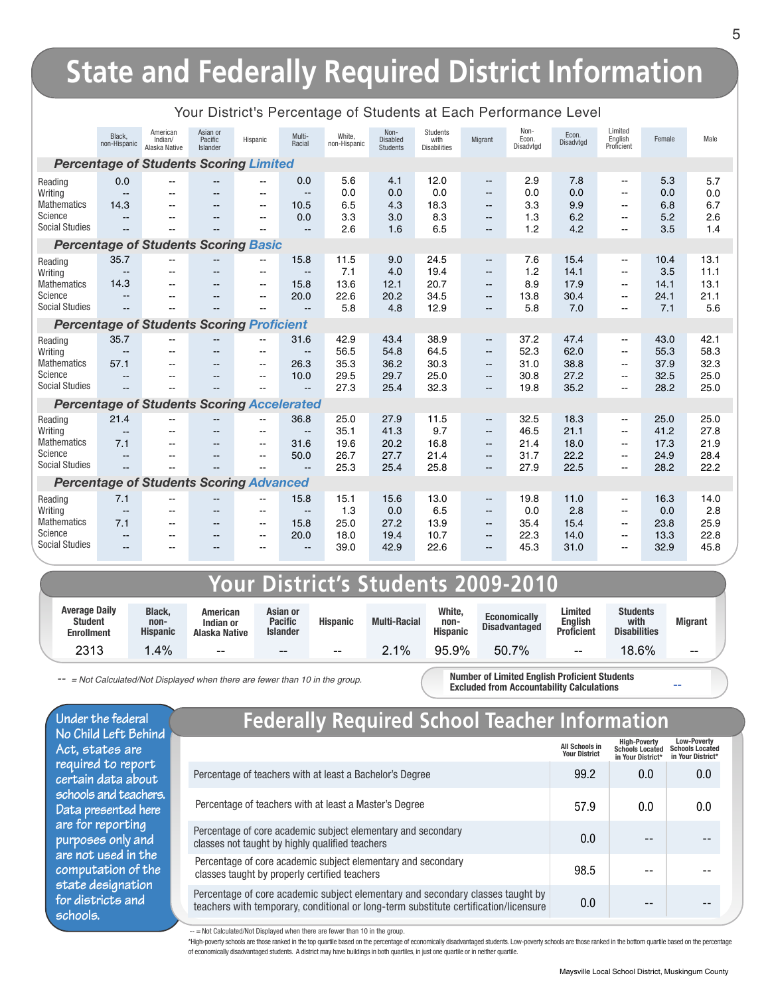| Non-<br>Asian or<br>Students<br>American<br>Non-<br>White,<br>Black,<br>Multi-<br>Econ.<br>Pacific<br>Hispanic<br>Disabled<br>with<br>Migrant<br>Indian/<br>Racial<br>non-Hispanic<br>non-Hispanic<br>Disadvtod<br>Alaska Native<br><b>Students</b><br><b>Disabilities</b><br>Islander                                                                                                                                                                                                                                                                                                                                                        | Limited<br>Econ.<br>English<br>Disadvtgd<br>Proficient | Female                                                                                                                                                                           | Male                                 |  |  |  |  |  |  |  |
|-----------------------------------------------------------------------------------------------------------------------------------------------------------------------------------------------------------------------------------------------------------------------------------------------------------------------------------------------------------------------------------------------------------------------------------------------------------------------------------------------------------------------------------------------------------------------------------------------------------------------------------------------|--------------------------------------------------------|----------------------------------------------------------------------------------------------------------------------------------------------------------------------------------|--------------------------------------|--|--|--|--|--|--|--|
|                                                                                                                                                                                                                                                                                                                                                                                                                                                                                                                                                                                                                                               |                                                        |                                                                                                                                                                                  |                                      |  |  |  |  |  |  |  |
| <b>Percentage of Students Scoring Limited</b>                                                                                                                                                                                                                                                                                                                                                                                                                                                                                                                                                                                                 |                                                        |                                                                                                                                                                                  |                                      |  |  |  |  |  |  |  |
| 12.0<br>0.0<br>5.6<br>4.1<br>2.9<br>0.0<br>Reading<br>$\overline{\phantom{a}}$<br>--<br>$-$<br>0.0<br>0.0<br>0.0<br>0.0<br>Writing<br>$\overline{\phantom{a}}$<br>$\qquad \qquad -$<br>$-$<br>--<br>$-$<br>$\overline{\phantom{a}}$<br>3.3<br>6.5<br>18.3<br><b>Mathematics</b><br>10.5<br>4.3<br>14.3<br>$\overline{a}$<br>$\overline{a}$<br>$\overline{a}$<br>$\overline{\phantom{a}}$<br>Science<br>0.0<br>3.3<br>3.0<br>8.3<br>1.3<br>$\overline{\phantom{a}}$<br>$-$<br>--<br>$\overline{\phantom{a}}$<br><b>Social Studies</b><br>1.2<br>2.6<br>1.6<br>6.5<br>$-$<br>--<br>$\overline{\phantom{a}}$                                     | 7.8<br>0.0<br>9.9<br>6.2<br>4.2                        | 5.3<br>$\overline{\phantom{a}}$<br>0.0<br>$\frac{1}{2}$<br>6.8<br>$\overline{\phantom{a}}$<br>5.2<br>$\overline{\phantom{a}}$<br>3.5<br>-−                                       | 5.7<br>0.0<br>6.7<br>2.6<br>1.4      |  |  |  |  |  |  |  |
| <b>Percentage of Students Scoring Basic</b>                                                                                                                                                                                                                                                                                                                                                                                                                                                                                                                                                                                                   |                                                        |                                                                                                                                                                                  |                                      |  |  |  |  |  |  |  |
| 35.7<br>15.8<br>11.5<br>9.0<br>24.5<br>7.6<br>Reading<br>--<br>$\overline{\phantom{a}}$<br>7.1<br>19.4<br>1.2<br>4.0<br>Writing<br>$\overline{\phantom{m}}$<br>--<br>--<br>$\overline{\phantom{a}}$<br>14.3<br>15.8<br>13.6<br>20.7<br>8.9<br>12.1<br><b>Mathematics</b><br>$-$<br>--<br>$\qquad \qquad -$<br>Science<br>20.0<br>22.6<br>20.2<br>34.5<br>13.8<br>$\overline{\phantom{a}}$<br>--<br>--<br>$\overline{\phantom{a}}$<br><b>Social Studies</b><br>5.8<br>12.9<br>5.8<br>4.8<br>$-$<br>$\overline{\phantom{a}}$                                                                                                                    | 15.4<br>14.1<br>17.9<br>30.4<br>7.0                    | 10.4<br>$\overline{\phantom{a}}$<br>3.5<br>--<br>14.1<br>$\overline{\phantom{a}}$<br>24.1<br>$\overline{\phantom{a}}$<br>7.1<br>-−                                               | 13.1<br>11.1<br>13.1<br>21.1<br>5.6  |  |  |  |  |  |  |  |
| <b>Percentage of Students Scoring Proficient</b>                                                                                                                                                                                                                                                                                                                                                                                                                                                                                                                                                                                              |                                                        |                                                                                                                                                                                  |                                      |  |  |  |  |  |  |  |
| 35.7<br>31.6<br>42.9<br>43.4<br>38.9<br>37.2<br>Reading<br>$\overline{a}$<br>--<br>$\overline{\phantom{a}}$<br>64.5<br>52.3<br>56.5<br>54.8<br>Writing<br>$\overline{a}$<br>$\overline{\phantom{a}}$<br>$\overline{\phantom{a}}$<br>$-$<br>35.3<br>31.0<br><b>Mathematics</b><br>57.1<br>26.3<br>36.2<br>30.3<br>$-$<br>$-$<br>$\overline{\phantom{a}}$<br>Science<br>10.0<br>29.5<br>25.0<br>29.7<br>30.8<br>$\overline{a}$<br>$-$<br>$\overline{\phantom{a}}$<br><b>Social Studies</b><br>27.3<br>25.4<br>32.3<br>19.8<br>$-1$<br>$\overline{\phantom{a}}$                                                                                  | 47.4<br>62.0<br>38.8<br>27.2<br>35.2                   | 43.0<br>$\overline{\phantom{a}}$<br>55.3<br>$\overline{\phantom{a}}$<br>37.9<br>$\mathbf{u}$<br>32.5<br>$-$<br>28.2<br>$-$                                                       | 42.1<br>58.3<br>32.3<br>25.0<br>25.0 |  |  |  |  |  |  |  |
| <b>Percentage of Students Scoring Accelerated</b>                                                                                                                                                                                                                                                                                                                                                                                                                                                                                                                                                                                             |                                                        |                                                                                                                                                                                  |                                      |  |  |  |  |  |  |  |
| 36.8<br>25.0<br>27.9<br>11.5<br>32.5<br>21.4<br>Reading<br>--<br>$\overline{\phantom{a}}$<br>9.7<br>35.1<br>41.3<br>46.5<br>Writing<br>$\overline{\phantom{a}}$<br>$\overline{\phantom{a}}$<br>$-$<br>$\qquad \qquad -$<br>$\overline{\phantom{a}}$<br>$\overline{\phantom{a}}$<br><b>Mathematics</b><br>20.2<br>16.8<br>7.1<br>31.6<br>19.6<br>21.4<br>$-$<br>$-$<br>$\overline{\phantom{a}}$<br>Science<br>50.0<br>26.7<br>27.7<br>21.4<br>31.7<br>$\overline{\phantom{a}}$<br>--<br>$\overline{\phantom{a}}$<br>--<br><b>Social Studies</b><br>25.8<br>25.3<br>25.4<br>27.9<br>$\overline{a}$<br>$-$<br>$\overline{\phantom{a}}$           | 18.3<br>21.1<br>18.0<br>22.2<br>22.5                   | 25.0<br>$\overline{\phantom{a}}$<br>41.2<br>$\overline{\phantom{a}}$<br>17.3<br>$\overline{\phantom{a}}$<br>24.9<br>$\overline{\phantom{a}}$<br>28.2<br>$\overline{\phantom{a}}$ | 25.0<br>27.8<br>21.9<br>28.4<br>22.2 |  |  |  |  |  |  |  |
| <b>Percentage of Students Scoring Advanced</b>                                                                                                                                                                                                                                                                                                                                                                                                                                                                                                                                                                                                |                                                        |                                                                                                                                                                                  |                                      |  |  |  |  |  |  |  |
| 7.1<br>15.8<br>15.1<br>13.0<br>19.8<br>15.6<br>Reading<br>$\overline{a}$<br>--<br>$\overline{\phantom{a}}$<br>1.3<br>6.5<br>0.0<br>Writing<br>0.0<br>$\overline{\phantom{a}}$<br>$\overline{\phantom{a}}$<br>$\overline{a}$<br>$\overline{\phantom{a}}$<br>$-$<br>$-$<br>Mathematics<br>13.9<br>35.4<br>7.1<br>15.8<br>25.0<br>27.2<br>$-$<br>$\qquad \qquad -$<br>$-$<br>$\hspace{0.1mm}-\hspace{0.1mm}-\hspace{0.1mm}$<br>Science<br>18.0<br>10.7<br>22.3<br>20.0<br>19.4<br>$-1$<br>$-$<br>$-$<br>$-$<br>$\overline{\phantom{a}}$<br><b>Social Studies</b><br>39.0<br>22.6<br>45.3<br>42.9<br>--<br>$-$<br>$-$<br>$\overline{\phantom{a}}$ | 11.0<br>2.8<br>15.4<br>14.0<br>31.0                    | 16.3<br>$\overline{\phantom{a}}$<br>0.0<br>$\frac{1}{2}$<br>23.8<br>$\overline{\phantom{a}}$<br>13.3<br>$\sim$<br>32.9<br>$\overline{a}$                                         | 14.0<br>2.8<br>25.9<br>22.8<br>45.8  |  |  |  |  |  |  |  |

### Your District's Percentage of Students at Each Performance Level

### **Your District's Students 2009-2010**

| <b>Average Daily</b><br><b>Student</b><br>Enrollment | Black.<br>non-<br><b>Hispanic</b> | American<br>Indian or<br>Alaska Native | Asian or<br><b>Pacific</b><br><b>Islander</b> | <b>Hispanic</b> | <b>Multi-Racial</b> | White,<br>non-<br><b>Hispanic</b> | <b>Economically</b><br><b>Disadvantaged</b> | <b>Limited</b><br><b>Enalish</b><br><b>Proficient</b> | <b>Students</b><br>with<br><b>Disabilities</b> | <b>Migrant</b> |  |
|------------------------------------------------------|-----------------------------------|----------------------------------------|-----------------------------------------------|-----------------|---------------------|-----------------------------------|---------------------------------------------|-------------------------------------------------------|------------------------------------------------|----------------|--|
| 2313                                                 | $.4\%$                            | $- -$                                  | $- -$                                         | $- -$           | 1%                  | 95.9%                             | 7%<br>50.7                                  | $- -$                                                 | 18.6%                                          | $- -$          |  |

-- = Not Calculated/Not Displayed when there are fewer than 10 in the group.

**Number of Limited English Proficient Students Excluded from Accountability Calculations**

**Under the federal No Child Left Behind Act, states are required to report certain data about schools and teachers. Data presented here are for reporting purposes only and are not used in the computation of the state designation for districts and schools.**

### **Federally Required School Teacher Information**

|                                                                                                                                                                        | <b>All Schools in</b><br><b>Your District</b> | <b>High-Poverty</b><br><b>Schools Located</b><br>in Your District* | <b>Low-Poverty</b><br><b>Schools Located</b><br>in Your District* |
|------------------------------------------------------------------------------------------------------------------------------------------------------------------------|-----------------------------------------------|--------------------------------------------------------------------|-------------------------------------------------------------------|
| Percentage of teachers with at least a Bachelor's Degree                                                                                                               | 99.2                                          | 0.0                                                                | 0.0                                                               |
| Percentage of teachers with at least a Master's Degree                                                                                                                 | 57.9                                          | 0.0                                                                | 0.0                                                               |
| Percentage of core academic subject elementary and secondary<br>classes not taught by highly qualified teachers                                                        | 0.0                                           |                                                                    |                                                                   |
| Percentage of core academic subject elementary and secondary<br>classes taught by properly certified teachers                                                          | 98.5                                          |                                                                    |                                                                   |
| Percentage of core academic subject elementary and secondary classes taught by<br>teachers with temporary, conditional or long-term substitute certification/licensure | 0.0                                           |                                                                    |                                                                   |

-- = Not Calculated/Not Displayed when there are fewer than 10 in the group.

\*High-poverty schools are those ranked in the top quartile based on the percentage of economically disadvantaged students. Low-poverty schools are those ranked in the bottom quartile based on the percentage of economically disadvantaged students. A district may have buildings in both quartiles, in just one quartile or in neither quartile.

--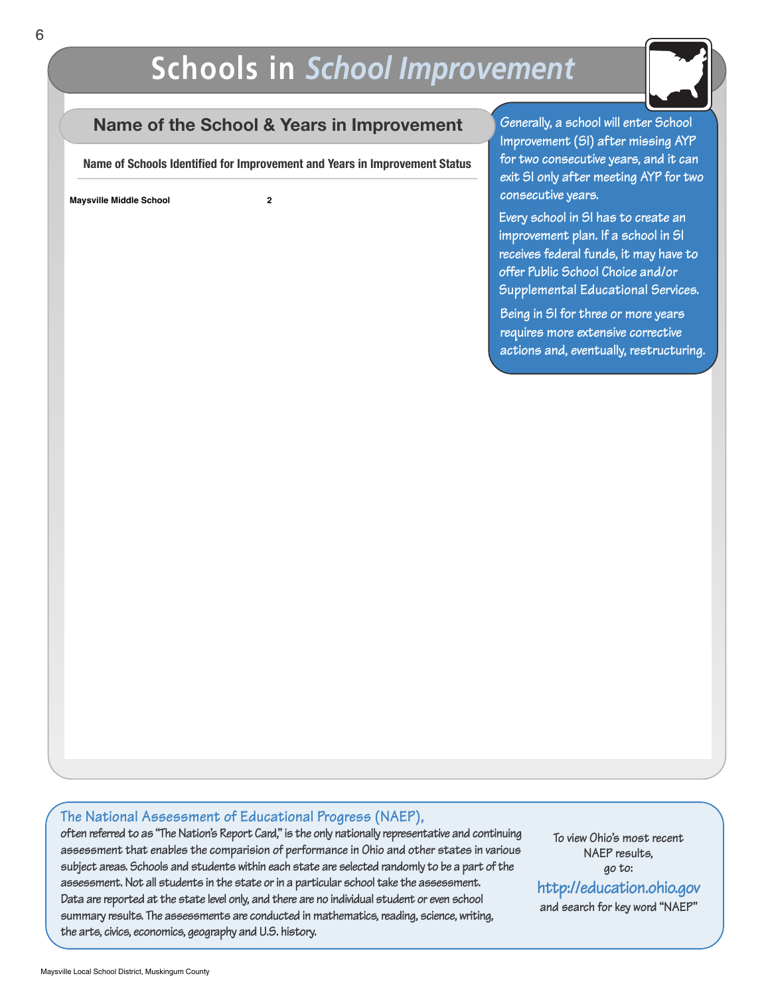## **Schools in** *School Improvement*



### **Name of the School & Years in Improvement**

**Name of Schools Identified for Improvement and Years in Improvement Status**

**Maysville Middle School 2**

**Generally, a school will enter School Improvement (SI) after missing AYP for two consecutive years, and it can exit SI only after meeting AYP for two consecutive years.**

**Every school in SI has to create an improvement plan. If a school in SI receives federal funds, it may have to offer Public School Choice and/or Supplemental Educational Services.**

**Being in SI for three or more years requires more extensive corrective actions and, eventually, restructuring.**

#### **The National Assessment of Educational Progress (NAEP),**

**often referred to as "TheNation's Report Card,"is the only nationally representative and continuing assessment that enables the comparision of performance in Ohio and other states in various subject areas. Schools and students within each state are selected randomly to be a part of the assessment.Not all students in the state orin a particular school take the assessment. Data are reported at the state level only, and there are no individual student or even school summary results. The assessments are conducted in mathematics,reading, science, writing, the arts, civics, economics, geography and U.S. history.**

**To view Ohio's most recent NAEP results, go to:**

**and search for key word "NAEP" http://education.ohio.gov**